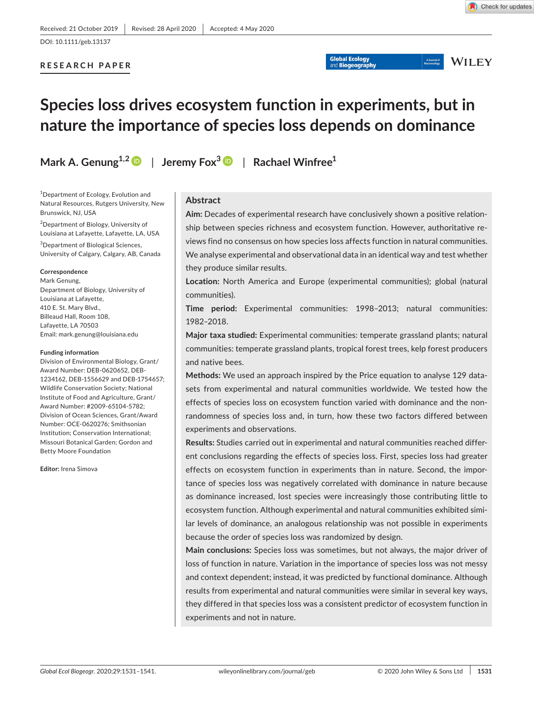A Journal of

**WILEY** 

**RESEARCH PAPER**

# **Species loss drives ecosystem function in experiments, but in nature the importance of species loss depends on dominance**

**Mark A. Genung1,[2](https://orcid.org/0000-0002-9383-667X)** | **Jeremy Fox[3](https://orcid.org/0000-0002-3432-5247)** | **Rachael Winfree1**

<sup>1</sup>Department of Ecology, Evolution and Natural Resources, Rutgers University, New Brunswick, NJ, USA

<sup>2</sup>Department of Biology, University of Louisiana at Lafayette, Lafayette, LA, USA

3 Department of Biological Sciences, University of Calgary, Calgary, AB, Canada

#### **Correspondence**

Mark Genung, Department of Biology, University of Louisiana at Lafayette, 410 E. St. Mary Blvd., Billeaud Hall, Room 108, Lafayette, LA 70503 Email: mark.genung@louisiana.edu

#### **Funding information**

Division of Environmental Biology, Grant/ Award Number: DEB-0620652, DEB-1234162, DEB-1556629 and DEB-1754657; Wildlife Conservation Society; National Institute of Food and Agriculture, Grant/ Award Number: #2009-65104-5782; Division of Ocean Sciences, Grant/Award Number: OCE-0620276; Smithsonian Institution; Conservation International; Missouri Botanical Garden; Gordon and Betty Moore Foundation

**Editor:** Irena Simova

## **Abstract**

**Aim:** Decades of experimental research have conclusively shown a positive relationship between species richness and ecosystem function. However, authoritative reviews find no consensus on how species loss affects function in natural communities. We analyse experimental and observational data in an identical way and test whether they produce similar results.

**Global Ecology** 

**Location:** North America and Europe (experimental communities); global (natural communities).

**Time period:** Experimental communities: 1998–2013; natural communities: 1982–2018.

**Major taxa studied:** Experimental communities: temperate grassland plants; natural communities: temperate grassland plants, tropical forest trees, kelp forest producers and native bees.

**Methods:** We used an approach inspired by the Price equation to analyse 129 datasets from experimental and natural communities worldwide. We tested how the effects of species loss on ecosystem function varied with dominance and the nonrandomness of species loss and, in turn, how these two factors differed between experiments and observations.

**Results:** Studies carried out in experimental and natural communities reached different conclusions regarding the effects of species loss. First, species loss had greater effects on ecosystem function in experiments than in nature. Second, the importance of species loss was negatively correlated with dominance in nature because as dominance increased, lost species were increasingly those contributing little to ecosystem function. Although experimental and natural communities exhibited similar levels of dominance, an analogous relationship was not possible in experiments because the order of species loss was randomized by design.

**Main conclusions:** Species loss was sometimes, but not always, the major driver of loss of function in nature. Variation in the importance of species loss was not messy and context dependent; instead, it was predicted by functional dominance. Although results from experimental and natural communities were similar in several key ways, they differed in that species loss was a consistent predictor of ecosystem function in experiments and not in nature.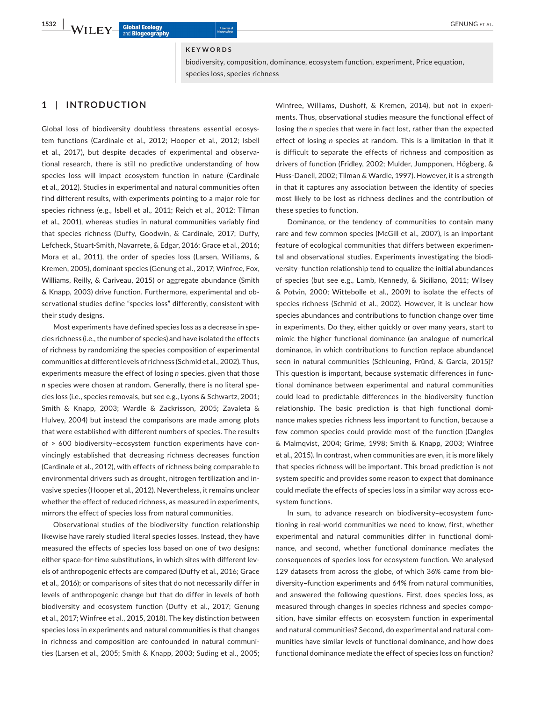#### **KEYWORDS**

biodiversity, composition, dominance, ecosystem function, experiment, Price equation, species loss, species richness

## **1** | **INTRODUCTION**

Global loss of biodiversity doubtless threatens essential ecosystem functions (Cardinale et al., 2012; Hooper et al., 2012; Isbell et al., 2017), but despite decades of experimental and observational research, there is still no predictive understanding of how species loss will impact ecosystem function in nature (Cardinale et al., 2012). Studies in experimental and natural communities often find different results, with experiments pointing to a major role for species richness (e.g., Isbell et al., 2011; Reich et al., 2012; Tilman et al., 2001), whereas studies in natural communities variably find that species richness (Duffy, Goodwin, & Cardinale, 2017; Duffy, Lefcheck, Stuart-Smith, Navarrete, & Edgar, 2016; Grace et al., 2016; Mora et al., 2011), the order of species loss (Larsen, Williams, & Kremen, 2005), dominant species (Genung et al., 2017; Winfree, Fox, Williams, Reilly, & Cariveau, 2015) or aggregate abundance (Smith & Knapp, 2003) drive function. Furthermore, experimental and observational studies define "species loss" differently, consistent with their study designs.

Most experiments have defined species loss as a decrease in species richness (i.e., the number of species) and have isolated the effects of richness by randomizing the species composition of experimental communities at different levels of richness (Schmid et al., 2002). Thus, experiments measure the effect of losing *n* species, given that those *n* species were chosen at random. Generally, there is no literal species loss (i.e., species removals, but see e.g., Lyons & Schwartz, 2001; Smith & Knapp, 2003; Wardle & Zackrisson, 2005; Zavaleta & Hulvey, 2004) but instead the comparisons are made among plots that were established with different numbers of species. The results of > 600 biodiversity–ecosystem function experiments have convincingly established that decreasing richness decreases function (Cardinale et al., 2012), with effects of richness being comparable to environmental drivers such as drought, nitrogen fertilization and invasive species (Hooper et al., 2012). Nevertheless, it remains unclear whether the effect of reduced richness, as measured in experiments, mirrors the effect of species loss from natural communities.

Observational studies of the biodiversity–function relationship likewise have rarely studied literal species losses. Instead, they have measured the effects of species loss based on one of two designs: either space-for-time substitutions, in which sites with different levels of anthropogenic effects are compared (Duffy et al., 2016; Grace et al., 2016); or comparisons of sites that do not necessarily differ in levels of anthropogenic change but that do differ in levels of both biodiversity and ecosystem function (Duffy et al., 2017; Genung et al., 2017; Winfree et al., 2015, 2018). The key distinction between species loss in experiments and natural communities is that changes in richness and composition are confounded in natural communities (Larsen et al., 2005; Smith & Knapp, 2003; Suding et al., 2005;

Winfree, Williams, Dushoff, & Kremen, 2014), but not in experiments. Thus, observational studies measure the functional effect of losing the *n* species that were in fact lost, rather than the expected effect of losing *n* species at random. This is a limitation in that it is difficult to separate the effects of richness and composition as drivers of function (Fridley, 2002; Mulder, Jumpponen, Högberg, & Huss-Danell, 2002; Tilman & Wardle, 1997). However, it is a strength in that it captures any association between the identity of species most likely to be lost as richness declines and the contribution of these species to function.

Dominance, or the tendency of communities to contain many rare and few common species (McGill et al., 2007), is an important feature of ecological communities that differs between experimental and observational studies. Experiments investigating the biodiversity–function relationship tend to equalize the initial abundances of species (but see e.g., Lamb, Kennedy, & Siciliano, 2011; Wilsey & Potvin, 2000; Wittebolle et al., 2009) to isolate the effects of species richness (Schmid et al., 2002). However, it is unclear how species abundances and contributions to function change over time in experiments. Do they, either quickly or over many years, start to mimic the higher functional dominance (an analogue of numerical dominance, in which contributions to function replace abundance) seen in natural communities (Schleuning, Fründ, & García, 2015)? This question is important, because systematic differences in functional dominance between experimental and natural communities could lead to predictable differences in the biodiversity–function relationship. The basic prediction is that high functional dominance makes species richness less important to function, because a few common species could provide most of the function (Dangles & Malmqvist, 2004; Grime, 1998; Smith & Knapp, 2003; Winfree et al., 2015). In contrast, when communities are even, it is more likely that species richness will be important. This broad prediction is not system specific and provides some reason to expect that dominance could mediate the effects of species loss in a similar way across ecosystem functions.

In sum, to advance research on biodiversity–ecosystem functioning in real-world communities we need to know, first, whether experimental and natural communities differ in functional dominance, and second, whether functional dominance mediates the consequences of species loss for ecosystem function. We analysed 129 datasets from across the globe, of which 36% came from biodiversity–function experiments and 64% from natural communities, and answered the following questions. First, does species loss, as measured through changes in species richness and species composition, have similar effects on ecosystem function in experimental and natural communities? Second, do experimental and natural communities have similar levels of functional dominance, and how does functional dominance mediate the effect of species loss on function?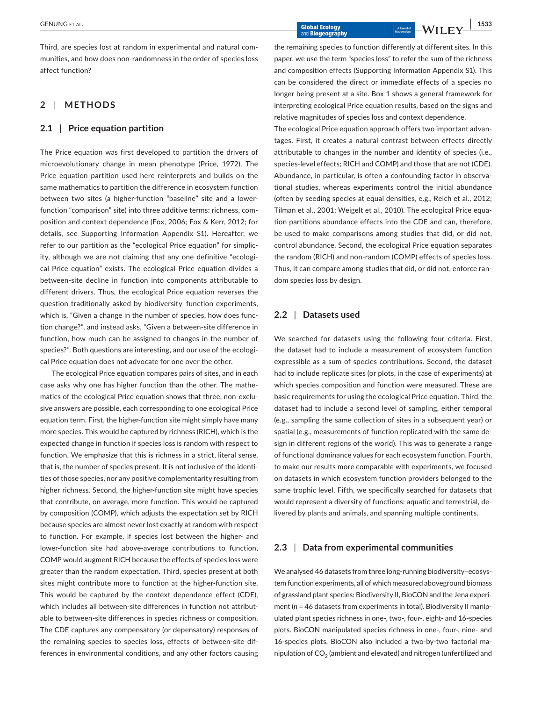Third, are species lost at random in experimental and natural communities, and how does non-randomness in the order of species loss affect function?

## **2** | **METHODS**

## **2.1** | **Price equation partition**

The Price equation was first developed to partition the drivers of microevolutionary change in mean phenotype (Price, 1972). The Price equation partition used here reinterprets and builds on the same mathematics to partition the difference in ecosystem function between two sites (a higher-function "baseline" site and a lowerfunction "comparison" site) into three additive terms: richness, composition and context dependence (Fox, 2006; Fox & Kerr, 2012; for details, see Supporting Information Appendix S1). Hereafter, we refer to our partition as the "ecological Price equation" for simplicity, although we are not claiming that any one definitive "ecological Price equation" exists. The ecological Price equation divides a between-site decline in function into components attributable to different drivers. Thus, the ecological Price equation reverses the question traditionally asked by biodiversity–function experiments, which is, "Given a change in the number of species, how does function change?", and instead asks, "Given a between-site difference in function, how much can be assigned to changes in the number of species?". Both questions are interesting, and our use of the ecological Price equation does not advocate for one over the other.

The ecological Price equation compares pairs of sites, and in each case asks why one has higher function than the other. The mathematics of the ecological Price equation shows that three, non-exclusive answers are possible, each corresponding to one ecological Price equation term. First, the higher-function site might simply have many more species. This would be captured by richness (RICH), which is the expected change in function if species loss is random with respect to function. We emphasize that this is richness in a strict, literal sense, that is, the number of species present. It is not inclusive of the identities of those species, nor any positive complementarity resulting from higher richness. Second, the higher-function site might have species that contribute, on average, more function. This would be captured by composition (COMP), which adjusts the expectation set by RICH because species are almost never lost exactly at random with respect to function. For example, if species lost between the higher- and lower-function site had above-average contributions to function, COMP would augment RICH because the effects of species loss were greater than the random expectation. Third, species present at both sites might contribute more to function at the higher-function site. This would be captured by the context dependence effect (CDE), which includes all between-site differences in function not attributable to between-site differences in species richness or composition. The CDE captures any compensatory (or depensatory) responses of the remaining species to species loss, effects of between-site differences in environmental conditions, and any other factors causing

the remaining species to function differently at different sites. In this paper, we use the term "species loss" to refer the sum of the richness and composition effects (Supporting Information Appendix S1). This can be considered the direct or immediate effects of a species no longer being present at a site. Box 1 shows a general framework for interpreting ecological Price equation results, based on the signs and relative magnitudes of species loss and context dependence.

The ecological Price equation approach offers two important advantages. First, it creates a natural contrast between effects directly attributable to changes in the number and identity of species (i.e., species-level effects; RICH and COMP) and those that are not (CDE). Abundance, in particular, is often a confounding factor in observational studies, whereas experiments control the initial abundance (often by seeding species at equal densities, e.g., Reich et al., 2012; Tilman et al., 2001; Weigelt et al., 2010). The ecological Price equation partitions abundance effects into the CDE and can, therefore, be used to make comparisons among studies that did, or did not, control abundance. Second, the ecological Price equation separates the random (RICH) and non-random (COMP) effects of species loss. Thus, it can compare among studies that did, or did not, enforce random species loss by design.

## **2.2** | **Datasets used**

We searched for datasets using the following four criteria. First, the dataset had to include a measurement of ecosystem function expressible as a sum of species contributions. Second, the dataset had to include replicate sites (or plots, in the case of experiments) at which species composition and function were measured. These are basic requirements for using the ecological Price equation. Third, the dataset had to include a second level of sampling, either temporal (e.g., sampling the same collection of sites in a subsequent year) or spatial (e.g., measurements of function replicated with the same design in different regions of the world). This was to generate a range of functional dominance values for each ecosystem function. Fourth, to make our results more comparable with experiments, we focused on datasets in which ecosystem function providers belonged to the same trophic level. Fifth, we specifically searched for datasets that would represent a diversity of functions: aquatic and terrestrial, delivered by plants and animals, and spanning multiple continents.

## **2.3** | **Data from experimental communities**

We analysed 46 datasets from three long-running biodiversity–ecosystem function experiments, all of which measured aboveground biomass of grassland plant species: Biodiversity II, BioCON and the Jena experiment (*n* = 46 datasets from experiments in total). Biodiversity II manipulated plant species richness in one-, two-, four-, eight- and 16-species plots. BioCON manipulated species richness in one-, four-, nine- and 16-species plots. BioCON also included a two-by-two factorial manipulation of  $CO<sub>2</sub>$  (ambient and elevated) and nitrogen (unfertilized and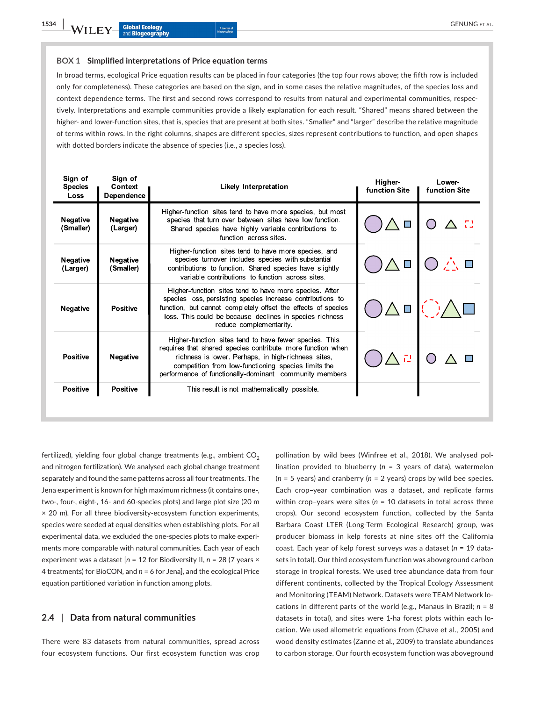#### **BOX 1 Simplified interpretations of Price equation terms**

In broad terms, ecological Price equation results can be placed in four categories (the top four rows above; the fifth row is included only for completeness). These categories are based on the sign, and in some cases the relative magnitudes, of the species loss and context dependence terms. The first and second rows correspond to results from natural and experimental communities, respectively. Interpretations and example communities provide a likely explanation for each result. "Shared" means shared between the higher- and lower-function sites, that is, species that are present at both sites. "Smaller" and "larger" describe the relative magnitude of terms within rows. In the right columns, shapes are different species, sizes represent contributions to function, and open shapes with dotted borders indicate the absence of species (i.e., a species loss).

| Sign of<br><b>Species</b><br>Loss | Sign of<br>Context<br>Dependence | <b>Likely Interpretation</b>                                                                                                                                                                                                                                                                  | Higher-<br><b>function Site</b> | Lower-<br><b>function Site</b> |
|-----------------------------------|----------------------------------|-----------------------------------------------------------------------------------------------------------------------------------------------------------------------------------------------------------------------------------------------------------------------------------------------|---------------------------------|--------------------------------|
| Negative<br>(Smaller)             | <b>Negative</b><br>(Larger)      | Higher-function sites tend to have more species, but most<br>species that turn over between sites have low function.<br>Shared species have highly variable contributions to<br>function across sites.                                                                                        |                                 |                                |
| <b>Negative</b><br>(Larger)       | <b>Negative</b><br>(Smaller)     | Higher-function sites tend to have more species, and<br>species turnover includes species with substantial<br>contributions to function. Shared species have slightly<br>variable contributions to function across sites.                                                                     |                                 |                                |
| <b>Negative</b>                   | <b>Positive</b>                  | Higher-function sites tend to have more species. After<br>species loss, persisting species increase contributions to<br>function, but cannot completely offset the effects of species<br>loss. This could be because declines in species richness<br>reduce complementarity                   | $\Box$                          |                                |
| <b>Positive</b>                   | <b>Negative</b>                  | Higher-function sites tend to have fewer species. This<br>requires that shared species contribute more function when<br>richness is lower. Perhaps, in high richness sites,<br>competition from low-functioning species limits the<br>performance of functionally-dominant community members. |                                 |                                |
| <b>Positive</b>                   | <b>Positive</b>                  | This result is not mathematically possible.                                                                                                                                                                                                                                                   |                                 |                                |
|                                   |                                  |                                                                                                                                                                                                                                                                                               |                                 |                                |

fertilized), yielding four global change treatments (e.g., ambient  $CO<sub>2</sub>$ and nitrogen fertilization). We analysed each global change treatment separately and found the same patterns across all four treatments. The Jena experiment is known for high maximum richness (it contains one-, two-, four-, eight-, 16- and 60-species plots) and large plot size (20 m × 20 m). For all three biodiversity-ecosystem function experiments, species were seeded at equal densities when establishing plots. For all experimental data, we excluded the one-species plots to make experiments more comparable with natural communities. Each year of each experiment was a dataset [*n* = 12 for Biodiversity II, *n* = 28 (7 years × 4 treatments) for BioCON, and *n* = 6 for Jena], and the ecological Price equation partitioned variation in function among plots.

## **2.4** | **Data from natural communities**

There were 83 datasets from natural communities, spread across four ecosystem functions. Our first ecosystem function was crop

pollination by wild bees (Winfree et al., 2018). We analysed pollination provided to blueberry (*n* = 3 years of data), watermelon (*n* = 5 years) and cranberry (*n* = 2 years) crops by wild bee species. Each crop–year combination was a dataset, and replicate farms within crop–years were sites (*n* = 10 datasets in total across three crops). Our second ecosystem function, collected by the Santa Barbara Coast LTER (Long-Term Ecological Research) group, was producer biomass in kelp forests at nine sites off the California coast. Each year of kelp forest surveys was a dataset (*n* = 19 datasets in total). Our third ecosystem function was aboveground carbon storage in tropical forests. We used tree abundance data from four different continents, collected by the Tropical Ecology Assessment and Monitoring (TEAM) Network. Datasets were TEAM Network locations in different parts of the world (e.g., Manaus in Brazil; *n* = 8 datasets in total), and sites were 1-ha forest plots within each location. We used allometric equations from (Chave et al., 2005) and wood density estimates (Zanne et al., 2009) to translate abundances to carbon storage. Our fourth ecosystem function was aboveground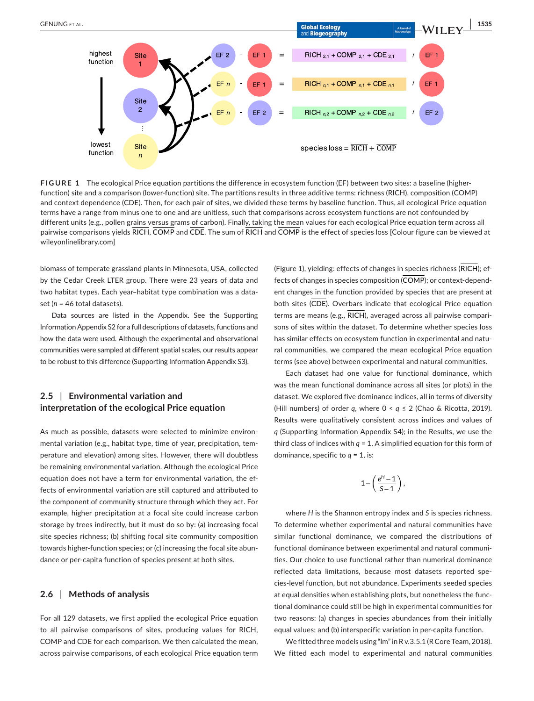

**FIGURE 1** The ecological Price equation partitions the difference in ecosystem function (EF) between two sites: a baseline (higherfunction) site and a comparison (lower-function) site. The partitions results in three additive terms: richness (RICH), composition (COMP) and context dependence (CDE). Then, for each pair of sites, we divided these terms by baseline function. Thus, all ecological Price equation terms have a range from minus one to one and are unitless, such that comparisons across ecosystem functions are not confounded by different units (e.g., pollen grains versus grams of carbon). Finally, taking the mean values for each ecological Price equation term across all pairwise comparisons yields RICH, COMP and CDE. The sum of RICH and COMP is the effect of species loss [Colour figure can be viewed at [wileyonlinelibrary.com\]](www.wileyonlinelibrary.com)

biomass of temperate grassland plants in Minnesota, USA, collected by the Cedar Creek LTER group. There were 23 years of data and two habitat types. Each year–habitat type combination was a dataset (*n* = 46 total datasets).

Data sources are listed in the Appendix. See the Supporting Information Appendix S2 for a full descriptions of datasets, functions and how the data were used. Although the experimental and observational communities were sampled at different spatial scales, our results appear to be robust to this difference (Supporting Information Appendix S3).

# **2.5** | **Environmental variation and interpretation of the ecological Price equation**

As much as possible, datasets were selected to minimize environmental variation (e.g., habitat type, time of year, precipitation, temperature and elevation) among sites. However, there will doubtless be remaining environmental variation. Although the ecological Price equation does not have a term for environmental variation, the effects of environmental variation are still captured and attributed to the component of community structure through which they act. For example, higher precipitation at a focal site could increase carbon storage by trees indirectly, but it must do so by: (a) increasing focal site species richness; (b) shifting focal site community composition towards higher-function species; or (c) increasing the focal site abundance or per-capita function of species present at both sites.

## **2.6** | **Methods of analysis**

For all 129 datasets, we first applied the ecological Price equation to all pairwise comparisons of sites, producing values for RICH, COMP and CDE for each comparison. We then calculated the mean, across pairwise comparisons, of each ecological Price equation term

(Figure 1), yielding: effects of changes in species richness (RICH); effects of changes in species composition (COMP); or context-dependent changes in the function provided by species that are present at both sites (CDE). Overbars indicate that ecological Price equation terms are means (e.g., RICH), averaged across all pairwise comparisons of sites within the dataset. To determine whether species loss has similar effects on ecosystem function in experimental and natural communities, we compared the mean ecological Price equation terms (see above) between experimental and natural communities.

Each dataset had one value for functional dominance, which was the mean functional dominance across all sites (or plots) in the dataset. We explored five dominance indices, all in terms of diversity (Hill numbers) of order *q*, where 0 < *q* ≤ 2 (Chao & Ricotta, 2019). Results were qualitatively consistent across indices and values of *q* (Supporting Information Appendix S4); in the Results, we use the third class of indices with  $q = 1$ . A simplified equation for this form of dominance, specific to  $q = 1$ , is:

$$
1-\left(\frac{e^H-1}{S-1}\right),
$$

where *H* is the Shannon entropy index and *S* is species richness. To determine whether experimental and natural communities have similar functional dominance, we compared the distributions of functional dominance between experimental and natural communities. Our choice to use functional rather than numerical dominance reflected data limitations, because most datasets reported species-level function, but not abundance. Experiments seeded species at equal densities when establishing plots, but nonetheless the functional dominance could still be high in experimental communities for two reasons: (a) changes in species abundances from their initially equal values; and (b) interspecific variation in per-capita function.

We fitted three models using "lm" in R v.3.5.1 (R Core Team, 2018). We fitted each model to experimental and natural communities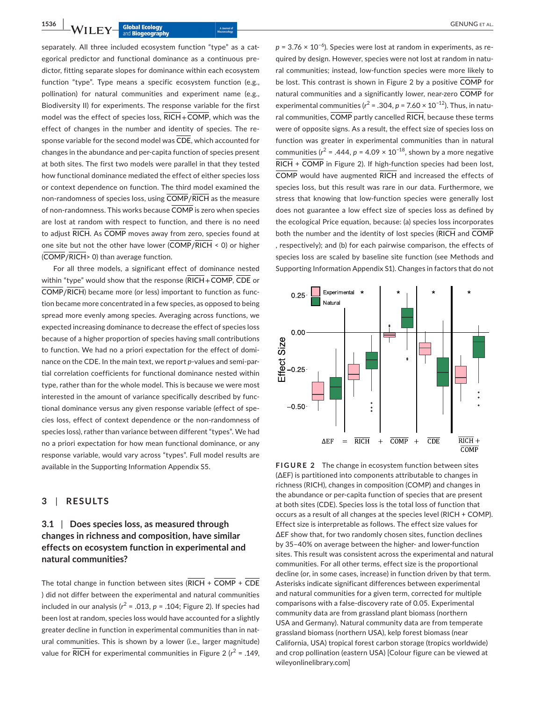**1536 • WILEY Global Ecology GENUNG ET AL.**<br> **1536 • WILEY and Biogeography** and **Biogeography** 

separately. All three included ecosystem function "type" as a categorical predictor and functional dominance as a continuous predictor, fitting separate slopes for dominance within each ecosystem function "type". Type means a specific ecosystem function (e.g., pollination) for natural communities and experiment name (e.g., Biodiversity II) for experiments. The response variable for the first model was the effect of species loss,  $\overline{RICH} + \overline{COMP}$ , which was the effect of changes in the number and identity of species. The response variable for the second model was  $\overline{\text{CDE}}$ , which accounted for changes in the abundance and per-capita function of species present at both sites. The first two models were parallel in that they tested how functional dominance mediated the effect of either species loss or context dependence on function. The third model examined the non-randomness of species loss, using COMP∕RICH as the measure of non-randomness. This works because  $\overline{\text{COMP}}$  is zero when species are lost at random with respect to function, and there is no need to adjust RICH. As COMP moves away from zero, species found at one site but not the other have lower (COMP∕RICH < 0) or higher (COMP∕RICH> 0) than average function.

For all three models, a significant effect of dominance nested within "type" would show that the response  $(RICH + \overline{COMP}, \overline{CDE}$  or COMP∕RICH) became more (or less) important to function as function became more concentrated in a few species, as opposed to being spread more evenly among species. Averaging across functions, we expected increasing dominance to decrease the effect of species loss because of a higher proportion of species having small contributions to function. We had no a priori expectation for the effect of dominance on the CDE. In the main text, we report *p*-values and semi-partial correlation coefficients for functional dominance nested within type, rather than for the whole model. This is because we were most interested in the amount of variance specifically described by functional dominance versus any given response variable (effect of species loss, effect of context dependence or the non-randomness of species loss), rather than variance between different "types". We had no a priori expectation for how mean functional dominance, or any response variable, would vary across "types". Full model results are available in the Supporting Information Appendix S5.

## **3** | **RESULTS**

# **3.1** | **Does species loss, as measured through changes in richness and composition, have similar effects on ecosystem function in experimental and natural communities?**

The total change in function between sites  $(RICH + \overline{COMP} + \overline{CDE}$ ) did not differ between the experimental and natural communities included in our analysis ( $r^2$  = .013,  $p$  = .104; Figure 2). If species had been lost at random, species loss would have accounted for a slightly greater decline in function in experimental communities than in natural communities. This is shown by a lower (i.e., larger magnitude) value for  $\overline{RICH}$  for experimental communities in Figure 2 ( $r^2$  = .149, *p* = 3.76 × 10<sup>−6</sup>). Species were lost at random in experiments, as required by design. However, species were not lost at random in natural communities; instead, low-function species were more likely to be lost. This contrast is shown in Figure 2 by a positive  $\overline{\text{COMP}}$  for natural communities and a significantly lower, near-zero COMP for experimental communities (*r* <sup>2</sup> = .304, *p* = 7.60 × 10−12). Thus, in natural communities,  $\overline{\text{COMP}}$  partly cancelled  $\overline{\text{RICH}}$ , because these terms were of opposite signs. As a result, the effect size of species loss on function was greater in experimental communities than in natural communities ( $r^2$  = .444,  $p$  = 4.09 × 10<sup>-18</sup>, shown by a more negative  $\overline{RICH}$  +  $\overline{COMP}$  in Figure 2). If high-function species had been lost, COMP would have augmented RICH and increased the effects of species loss, but this result was rare in our data. Furthermore, we stress that knowing that low-function species were generally lost does not guarantee a low effect size of species loss as defined by the ecological Price equation, because: (a) species loss incorporates both the number and the identity of lost species (RICH and COMP , respectively); and (b) for each pairwise comparison, the effects of species loss are scaled by baseline site function (see Methods and Supporting Information Appendix S1). Changes in factors that do not



**FIGURE 2** The change in ecosystem function between sites (∆EF) is partitioned into components attributable to changes in richness (RICH), changes in composition (COMP) and changes in the abundance or per-capita function of species that are present at both sites (CDE). Species loss is the total loss of function that occurs as a result of all changes at the species level (RICH + COMP). Effect size is interpretable as follows. The effect size values for ∆EF show that, for two randomly chosen sites, function declines by 35–40% on average between the higher- and lower-function sites. This result was consistent across the experimental and natural communities. For all other terms, effect size is the proportional decline (or, in some cases, increase) in function driven by that term. Asterisks indicate significant differences between experimental and natural communities for a given term, corrected for multiple comparisons with a false-discovery rate of 0.05. Experimental community data are from grassland plant biomass (northern USA and Germany). Natural community data are from temperate grassland biomass (northern USA), kelp forest biomass (near California, USA) tropical forest carbon storage (tropics worldwide) and crop pollination (eastern USA) [Colour figure can be viewed at [wileyonlinelibrary.com](www.wileyonlinelibrary.com)]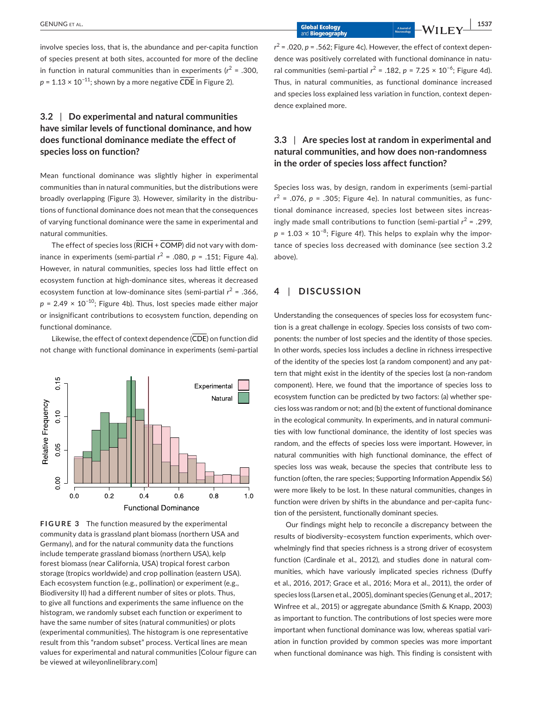involve species loss, that is, the abundance and per-capita function of species present at both sites, accounted for more of the decline in function in natural communities than in experiments ( $r^2$  = .300,  $p = 1.13 \times 10^{-11}$ ; shown by a more negative CDE in Figure 2).

# **3.2** | **Do experimental and natural communities have similar levels of functional dominance, and how does functional dominance mediate the effect of species loss on function?**

Mean functional dominance was slightly higher in experimental communities than in natural communities, but the distributions were broadly overlapping (Figure 3). However, similarity in the distributions of functional dominance does not mean that the consequences of varying functional dominance were the same in experimental and natural communities.

The effect of species loss  $(RICH + \overline{COMP})$  did not vary with dominance in experiments (semi-partial  $r^2$  = .080,  $p$  = .151; Figure 4a). However, in natural communities, species loss had little effect on ecosystem function at high-dominance sites, whereas it decreased ecosystem function at low-dominance sites (semi-partial  $r^2$  = .366,  $p = 2.49 \times 10^{-10}$ ; Figure 4b). Thus, lost species made either major or insignificant contributions to ecosystem function, depending on functional dominance.

Likewise, the effect of context dependence  $(\overline{\text{CDE}})$  on function did not change with functional dominance in experiments (semi-partial





 $r^2$  = .020,  $p$  = .562; Figure 4c). However, the effect of context dependence was positively correlated with functional dominance in natural communities (semi-partial  $r^2$  = .182,  $p$  = 7.25 × 10<sup>-6</sup>; Figure 4d). Thus, in natural communities, as functional dominance increased and species loss explained less variation in function, context dependence explained more.

# **3.3** | **Are species lost at random in experimental and natural communities, and how does non-randomness in the order of species loss affect function?**

Species loss was, by design, random in experiments (semi-partial *r* <sup>2</sup> = .076, *p* = .305; Figure 4e). In natural communities, as functional dominance increased, species lost between sites increasingly made small contributions to function (semi-partial  $r^2$  = .299,  $p = 1.03 \times 10^{-8}$ ; Figure 4f). This helps to explain why the importance of species loss decreased with dominance (see section 3.2 above).

## **4** | **DISCUSSION**

Understanding the consequences of species loss for ecosystem function is a great challenge in ecology. Species loss consists of two components: the number of lost species and the identity of those species. In other words, species loss includes a decline in richness irrespective of the identity of the species lost (a random component) and any pattern that might exist in the identity of the species lost (a non-random component). Here, we found that the importance of species loss to ecosystem function can be predicted by two factors: (a) whether species loss was random or not; and (b) the extent of functional dominance in the ecological community. In experiments, and in natural communities with low functional dominance, the identity of lost species was random, and the effects of species loss were important. However, in natural communities with high functional dominance, the effect of species loss was weak, because the species that contribute less to function (often, the rare species; Supporting Information Appendix S6) were more likely to be lost. In these natural communities, changes in function were driven by shifts in the abundance and per-capita function of the persistent, functionally dominant species.

Our findings might help to reconcile a discrepancy between the results of biodiversity–ecosystem function experiments, which overwhelmingly find that species richness is a strong driver of ecosystem function (Cardinale et al., 2012), and studies done in natural communities, which have variously implicated species richness (Duffy et al., 2016, 2017; Grace et al., 2016; Mora et al., 2011), the order of species loss (Larsen et al., 2005), dominant species (Genung et al., 2017; Winfree et al., 2015) or aggregate abundance (Smith & Knapp, 2003) as important to function. The contributions of lost species were more important when functional dominance was low, whereas spatial variation in function provided by common species was more important when functional dominance was high. This finding is consistent with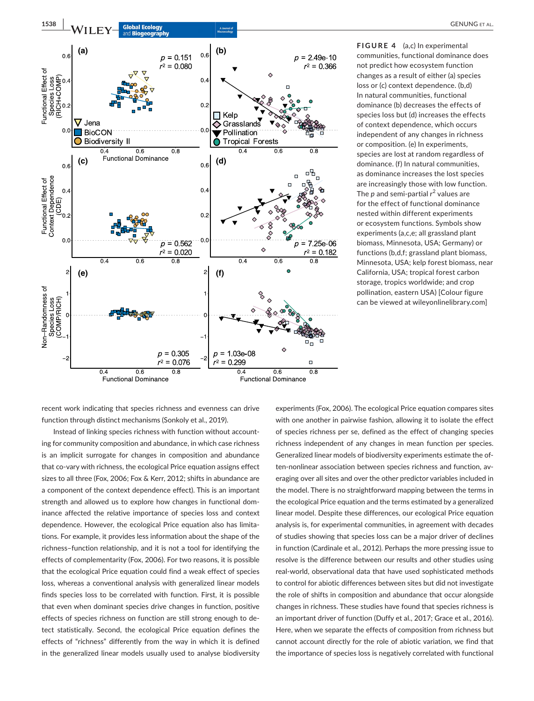

**FIGURE 4** (a,c) In experimental communities, functional dominance does not predict how ecosystem function changes as a result of either (a) species loss or (c) context dependence. (b,d) In natural communities, functional dominance (b) decreases the effects of species loss but (d) increases the effects of context dependence, which occurs independent of any changes in richness or composition. (e) In experiments, species are lost at random regardless of dominance. (f) In natural communities, as dominance increases the lost species are increasingly those with low function. The  $p$  and semi-partial  $r^2$  values are for the effect of functional dominance nested within different experiments or ecosystem functions. Symbols show experiments (a,c,e; all grassland plant biomass, Minnesota, USA; Germany) or functions (b,d,f; grassland plant biomass, Minnesota, USA; kelp forest biomass, near California, USA; tropical forest carbon storage, tropics worldwide; and crop pollination, eastern USA) [Colour figure can be viewed at [wileyonlinelibrary.com](www.wileyonlinelibrary.com)]

recent work indicating that species richness and evenness can drive function through distinct mechanisms (Sonkoly et al., 2019).

Instead of linking species richness with function without accounting for community composition and abundance, in which case richness is an implicit surrogate for changes in composition and abundance that co-vary with richness, the ecological Price equation assigns effect sizes to all three (Fox, 2006; Fox & Kerr, 2012; shifts in abundance are a component of the context dependence effect). This is an important strength and allowed us to explore how changes in functional dominance affected the relative importance of species loss and context dependence. However, the ecological Price equation also has limitations. For example, it provides less information about the shape of the richness–function relationship, and it is not a tool for identifying the effects of complementarity (Fox, 2006). For two reasons, it is possible that the ecological Price equation could find a weak effect of species loss, whereas a conventional analysis with generalized linear models finds species loss to be correlated with function. First, it is possible that even when dominant species drive changes in function, positive effects of species richness on function are still strong enough to detect statistically. Second, the ecological Price equation defines the effects of "richness" differently from the way in which it is defined in the generalized linear models usually used to analyse biodiversity

experiments (Fox, 2006). The ecological Price equation compares sites with one another in pairwise fashion, allowing it to isolate the effect of species richness per se, defined as the effect of changing species richness independent of any changes in mean function per species. Generalized linear models of biodiversity experiments estimate the often-nonlinear association between species richness and function, averaging over all sites and over the other predictor variables included in the model. There is no straightforward mapping between the terms in the ecological Price equation and the terms estimated by a generalized linear model. Despite these differences, our ecological Price equation analysis is, for experimental communities, in agreement with decades of studies showing that species loss can be a major driver of declines in function (Cardinale et al., 2012). Perhaps the more pressing issue to resolve is the difference between our results and other studies using real-world, observational data that have used sophisticated methods to control for abiotic differences between sites but did not investigate the role of shifts in composition and abundance that occur alongside changes in richness. These studies have found that species richness is an important driver of function (Duffy et al., 2017; Grace et al., 2016). Here, when we separate the effects of composition from richness but cannot account directly for the role of abiotic variation, we find that the importance of species loss is negatively correlated with functional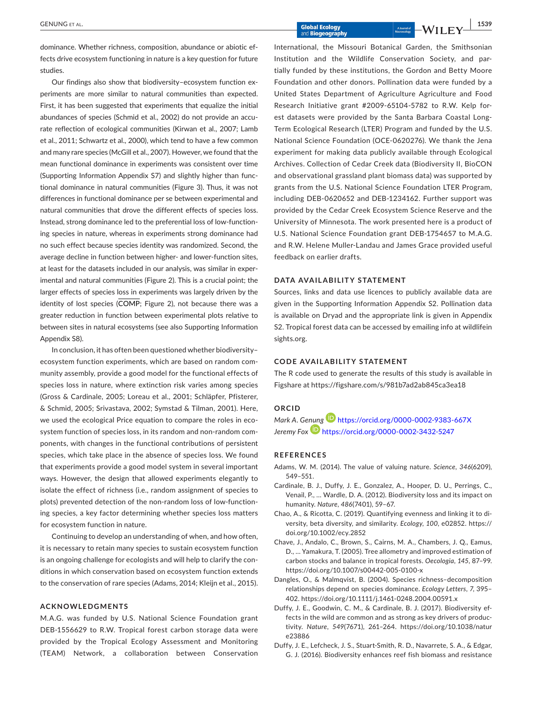dominance. Whether richness, composition, abundance or abiotic effects drive ecosystem functioning in nature is a key question for future studies.

Our findings also show that biodiversity–ecosystem function experiments are more similar to natural communities than expected. First, it has been suggested that experiments that equalize the initial abundances of species (Schmid et al., 2002) do not provide an accurate reflection of ecological communities (Kirwan et al., 2007; Lamb et al., 2011; Schwartz et al., 2000), which tend to have a few common and many rare species (McGill et al., 2007). However, we found that the mean functional dominance in experiments was consistent over time (Supporting Information Appendix S7) and slightly higher than functional dominance in natural communities (Figure 3). Thus, it was not differences in functional dominance per se between experimental and natural communities that drove the different effects of species loss. Instead, strong dominance led to the preferential loss of low-functioning species in nature, whereas in experiments strong dominance had no such effect because species identity was randomized. Second, the average decline in function between higher- and lower-function sites, at least for the datasets included in our analysis, was similar in experimental and natural communities (Figure 2). This is a crucial point; the larger effects of species loss in experiments was largely driven by the identity of lost species (COMP; Figure 2), not because there was a greater reduction in function between experimental plots relative to between sites in natural ecosystems (see also Supporting Information Appendix S8).

In conclusion, it has often been questioned whether biodiversity– ecosystem function experiments, which are based on random community assembly, provide a good model for the functional effects of species loss in nature, where extinction risk varies among species (Gross & Cardinale, 2005; Loreau et al., 2001; Schläpfer, Pfisterer, & Schmid, 2005; Srivastava, 2002; Symstad & Tilman, 2001). Here, we used the ecological Price equation to compare the roles in ecosystem function of species loss, in its random and non-random components, with changes in the functional contributions of persistent species, which take place in the absence of species loss. We found that experiments provide a good model system in several important ways. However, the design that allowed experiments elegantly to isolate the effect of richness (i.e., random assignment of species to plots) prevented detection of the non-random loss of low-functioning species, a key factor determining whether species loss matters for ecosystem function in nature.

Continuing to develop an understanding of when, and how often, it is necessary to retain many species to sustain ecosystem function is an ongoing challenge for ecologists and will help to clarify the conditions in which conservation based on ecosystem function extends to the conservation of rare species (Adams, 2014; Kleijn et al., 2015).

### **ACKNOWLEDGMENTS**

M.A.G. was funded by U.S. National Science Foundation grant DEB-1556629 to R.W. Tropical forest carbon storage data were provided by the Tropical Ecology Assessment and Monitoring (TEAM) Network, a collaboration between Conservation

International, the Missouri Botanical Garden, the Smithsonian Institution and the Wildlife Conservation Society, and partially funded by these institutions, the Gordon and Betty Moore Foundation and other donors. Pollination data were funded by a United States Department of Agriculture Agriculture and Food Research Initiative grant #2009-65104-5782 to R.W. Kelp forest datasets were provided by the Santa Barbara Coastal Long-Term Ecological Research (LTER) Program and funded by the U.S. National Science Foundation (OCE-0620276). We thank the Jena experiment for making data publicly available through Ecological Archives. Collection of Cedar Creek data (Biodiversity II, BioCON and observational grassland plant biomass data) was supported by grants from the U.S. National Science Foundation LTER Program, including DEB-0620652 and DEB-1234162. Further support was provided by the Cedar Creek Ecosystem Science Reserve and the University of Minnesota. The work presented here is a product of U.S. National Science Foundation grant DEB-1754657 to M.A.G. and R.W. Helene Muller-Landau and James Grace provided useful feedback on earlier drafts.

#### **DATA AVAILABILITY STATEMENT**

Sources, links and data use licences to publicly available data are given in the Supporting Information Appendix S2. Pollination data is available on Dryad and the appropriate link is given in Appendix S2. Tropical forest data can be accessed by emailing info at [wildlifein](http://wildlifeinsights.org) [sights.org.](http://wildlifeinsights.org)

#### **CODE AVAILABILITY STATEMENT**

The R code used to generate the results of this study is available in Figshare at<https://figshare.com/s/981b7ad2ab845ca3ea18>

## **ORCID**

*Mark A. G[enung](https://orcid.org/0000-0002-3432-5247)* **b** <https://orcid.org/0000-0002-9383-667X> *Jeremy Fox* <https://orcid.org/0000-0002-3432-5247>

## **REFERENCES**

- Adams, W. M. (2014). The value of valuing nature. *Science*, *346*(6209), 549–551.
- Cardinale, B. J., Duffy, J. E., Gonzalez, A., Hooper, D. U., Perrings, C., Venail, P., … Wardle, D. A. (2012). Biodiversity loss and its impact on humanity. *Nature*, *486*(7401), 59–67.
- Chao, A., & Ricotta, C. (2019). Quantifying evenness and linking it to diversity, beta diversity, and similarity. *Ecology*, *100*, e02852. [https://](https://doi.org/10.1002/ecy.2852) [doi.org/10.1002/ecy.2852](https://doi.org/10.1002/ecy.2852)
- Chave, J., Andalo, C., Brown, S., Cairns, M. A., Chambers, J. Q., Eamus, D., … Yamakura, T. (2005). Tree allometry and improved estimation of carbon stocks and balance in tropical forests. *Oecologia*, *145*, 87–99. <https://doi.org/10.1007/s00442-005-0100-x>
- Dangles, O., & Malmqvist, B. (2004). Species richness–decomposition relationships depend on species dominance. *Ecology Letters*, *7*, 395– 402.<https://doi.org/10.1111/j.1461-0248.2004.00591.x>
- Duffy, J. E., Goodwin, C. M., & Cardinale, B. J. (2017). Biodiversity effects in the wild are common and as strong as key drivers of productivity. *Nature*, *549*(7671), 261–264. [https://doi.org/10.1038/natur](https://doi.org/10.1038/nature23886) [e23886](https://doi.org/10.1038/nature23886)
- Duffy, J. E., Lefcheck, J. S., Stuart-Smith, R. D., Navarrete, S. A., & Edgar, G. J. (2016). Biodiversity enhances reef fish biomass and resistance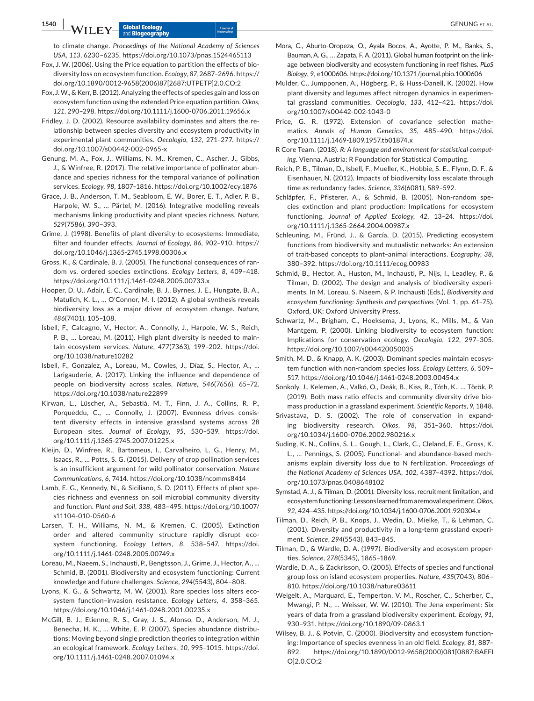to climate change. *Proceedings of the National Academy of Sciences USA*, *113*, 6230–6235. <https://doi.org/10.1073/pnas.1524465113>

- Fox, J. W. (2006). Using the Price equation to partition the effects of biodiversity loss on ecosystem function. *Ecology*, *87*, 2687–2696. [https://](https://doi.org/10.1890/0012-9658(2006)87[2687:UTPETP]2.0.CO;2) [doi.org/10.1890/0012-9658\(2006\)87\[2687:UTPETP\]2.0.CO;2](https://doi.org/10.1890/0012-9658(2006)87[2687:UTPETP]2.0.CO;2)
- Fox, J. W., & Kerr, B. (2012). Analyzing the effects of species gain and loss on ecosystem function using the extended Price equation partition. *Oikos*, *121*, 290–298. <https://doi.org/10.1111/j.1600-0706.2011.19656.x>
- Fridley, J. D. (2002). Resource availability dominates and alters the relationship between species diversity and ecosystem productivity in experimental plant communities. *Oecologia*, *132*, 271–277. [https://](https://doi.org/10.1007/s00442-002-0965-x) [doi.org/10.1007/s00442-002-0965-x](https://doi.org/10.1007/s00442-002-0965-x)
- Genung, M. A., Fox, J., Williams, N. M., Kremen, C., Ascher, J., Gibbs, J., & Winfree, R. (2017). The relative importance of pollinator abundance and species richness for the temporal variance of pollination services. *Ecology*, *98*, 1807–1816. <https://doi.org/10.1002/ecy.1876>
- Grace, J. B., Anderson, T. M., Seabloom, E. W., Borer, E. T., Adler, P. B., Harpole, W. S., … Pärtel, M. (2016). Integrative modelling reveals mechanisms linking productivity and plant species richness. *Nature*, *529*(7586), 390–393.
- Grime, J. (1998). Benefits of plant diversity to ecosystems: Immediate, filter and founder effects. *Journal of Ecology*, *86*, 902–910. [https://](https://doi.org/10.1046/j.1365-2745.1998.00306.x) [doi.org/10.1046/j.1365-2745.1998.00306.x](https://doi.org/10.1046/j.1365-2745.1998.00306.x)
- Gross, K., & Cardinale, B. J. (2005). The functional consequences of random vs. ordered species extinctions. *Ecology Letters*, *8*, 409–418. <https://doi.org/10.1111/j.1461-0248.2005.00733.x>
- Hooper, D. U., Adair, E. C., Cardinale, B. J., Byrnes, J. E., Hungate, B. A., Matulich, K. L., … O'Connor, M. I. (2012). A global synthesis reveals biodiversity loss as a major driver of ecosystem change. *Nature*, *486*(7401), 105–108.
- Isbell, F., Calcagno, V., Hector, A., Connolly, J., Harpole, W. S., Reich, P. B., … Loreau, M. (2011). High plant diversity is needed to maintain ecosystem services. *Nature*, *477*(7363), 199–202. [https://doi.](https://doi.org/10.1038/nature10282) [org/10.1038/nature10282](https://doi.org/10.1038/nature10282)
- Isbell, F., Gonzalez, A., Loreau, M., Cowles, J., Díaz, S., Hector, A., … Larigauderie, A. (2017). Linking the influence and dependence of people on biodiversity across scales. *Nature*, *546*(7656), 65–72. <https://doi.org/10.1038/nature22899>
- Kirwan, L., Lüscher, A., Sebastià, M. T., Finn, J. A., Collins, R. P., Porqueddu, C., … Connolly, J. (2007). Evenness drives consistent diversity effects in intensive grassland systems across 28 European sites. *Journal of Ecology*, *95*, 530–539. [https://doi.](https://doi.org/10.1111/j.1365-2745.2007.01225.x) [org/10.1111/j.1365-2745.2007.01225.x](https://doi.org/10.1111/j.1365-2745.2007.01225.x)
- Kleijn, D., Winfree, R., Bartomeus, I., Carvalheiro, L. G., Henry, M., Isaacs, R., … Potts, S. G. (2015). Delivery of crop pollination services is an insufficient argument for wild pollinator conservation. *Nature Communications*, *6*, 7414.<https://doi.org/10.1038/ncomms8414>
- Lamb, E. G., Kennedy, N., & Siciliano, S. D. (2011). Effects of plant species richness and evenness on soil microbial community diversity and function. *Plant and Soil*, *338*, 483–495. [https://doi.org/10.1007/](https://doi.org/10.1007/s11104-010-0560-6) [s11104-010-0560-6](https://doi.org/10.1007/s11104-010-0560-6)
- Larsen, T. H., Williams, N. M., & Kremen, C. (2005). Extinction order and altered community structure rapidly disrupt ecosystem functioning. *Ecology Letters*, *8*, 538–547. [https://doi.](https://doi.org/10.1111/j.1461-0248.2005.00749.x) [org/10.1111/j.1461-0248.2005.00749.x](https://doi.org/10.1111/j.1461-0248.2005.00749.x)
- Loreau, M., Naeem, S., Inchausti, P., Bengtsson, J., Grime, J., Hector, A., … Schmid, B. (2001). Biodiversity and ecosystem functioning: Current knowledge and future challenges. *Science*, *294*(5543), 804–808.
- Lyons, K. G., & Schwartz, M. W. (2001). Rare species loss alters ecosystem function–invasion resistance. *Ecology Letters*, *4*, 358–365. <https://doi.org/10.1046/j.1461-0248.2001.00235.x>
- McGill, B. J., Etienne, R. S., Gray, J. S., Alonso, D., Anderson, M. J., Benecha, H. K., … White, E. P. (2007). Species abundance distributions: Moving beyond single prediction theories to integration within an ecological framework. *Ecology Letters*, *10*, 995–1015. [https://doi.](https://doi.org/10.1111/j.1461-0248.2007.01094.x) [org/10.1111/j.1461-0248.2007.01094.x](https://doi.org/10.1111/j.1461-0248.2007.01094.x)
- Mora, C., Aburto-Oropeza, O., Ayala Bocos, A., Ayotte, P. M., Banks, S., Bauman, A. G., … Zapata, F. A. (2011). Global human footprint on the linkage between biodiversity and ecosystem functioning in reef fishes. *PLoS Biology*, *9*, e1000606. <https://doi.org/10.1371/journal.pbio.1000606>
- Mulder, C., Jumpponen, A., Högberg, P., & Huss-Danell, K. (2002). How plant diversity and legumes affect nitrogen dynamics in experimental grassland communities. *Oecologia*, *133*, 412–421. [https://doi.](https://doi.org/10.1007/s00442-002-1043-0) [org/10.1007/s00442-002-1043-0](https://doi.org/10.1007/s00442-002-1043-0)
- Price, G. R. (1972). Extension of covariance selection mathematics. *Annals of Human Genetics*, *35*, 485–490. [https://doi.](https://doi.org/10.1111/j.1469-1809.1957.tb01874.x) [org/10.1111/j.1469-1809.1957.tb01874.x](https://doi.org/10.1111/j.1469-1809.1957.tb01874.x)
- R Core Team. (2018). *R: A language and environment for statistical computing*. Vienna, Austria: R Foundation for Statistical Computing.
- Reich, P. B., Tilman, D., Isbell, F., Mueller, K., Hobbie, S. E., Flynn, D. F., & Eisenhauer, N. (2012). Impacts of biodiversity loss escalate through time as redundancy fades. *Science*, *336*(6081), 589–592.
- Schläpfer, F., Pfisterer, A., & Schmid, B. (2005). Non-random species extinction and plant production: Implications for ecosystem functioning. *Journal of Applied Ecology*, *42*, 13–24. [https://doi.](https://doi.org/10.1111/j.1365-2664.2004.00987.x) [org/10.1111/j.1365-2664.2004.00987.x](https://doi.org/10.1111/j.1365-2664.2004.00987.x)
- Schleuning, M., Fründ, J., & García, D. (2015). Predicting ecosystem functions from biodiversity and mutualistic networks: An extension of trait-based concepts to plant–animal interactions. *Ecography*, *38*, 380–392.<https://doi.org/10.1111/ecog.00983>
- Schmid, B., Hector, A., Huston, M., Inchausti, P., Nijs, I., Leadley, P., & Tilman, D. (2002). The design and analysis of biodiversity experiments. In M. Loreau, S. Naeem, & P. Inchausti (Eds.), *Biodiversity and ecosystem functioning: Synthesis and perspectives* (Vol. 1, pp. 61–75). Oxford, UK: Oxford University Press.
- Schwartz, M., Brigham, C., Hoeksema, J., Lyons, K., Mills, M., & Van Mantgem, P. (2000). Linking biodiversity to ecosystem function: Implications for conservation ecology. *Oecologia*, *122*, 297–305. <https://doi.org/10.1007/s004420050035>
- Smith, M. D., & Knapp, A. K. (2003). Dominant species maintain ecosystem function with non-random species loss. *Ecology Letters*, *6*, 509– 517.<https://doi.org/10.1046/j.1461-0248.2003.00454.x>
- Sonkoly, J., Kelemen, A., Valkó, O., Deák, B., Kiss, R., Tóth, K., … Török, P. (2019). Both mass ratio effects and community diversity drive biomass production in a grassland experiment. *Scientific Reports*, *9*, 1848.
- Srivastava, D. S. (2002). The role of conservation in expanding biodiversity research. *Oikos*, *98*, 351–360. [https://doi.](https://doi.org/10.1034/j.1600-0706.2002.980216.x) [org/10.1034/j.1600-0706.2002.980216.x](https://doi.org/10.1034/j.1600-0706.2002.980216.x)
- Suding, K. N., Collins, S. L., Gough, L., Clark, C., Cleland, E. E., Gross, K. L., … Pennings, S. (2005). Functional- and abundance-based mechanisms explain diversity loss due to N fertilization. *Proceedings of the National Academy of Sciences USA*, *102*, 4387–4392. [https://doi.](https://doi.org/10.1073/pnas.0408648102) [org/10.1073/pnas.0408648102](https://doi.org/10.1073/pnas.0408648102)
- Symstad, A. J., & Tilman, D. (2001). Diversity loss, recruitment limitation, and ecosystem functioning: Lessons learned from a removal experiment. *Oikos*, *92*, 424–435. <https://doi.org/10.1034/j.1600-0706.2001.920304.x>
- Tilman, D., Reich, P. B., Knops, J., Wedin, D., Mielke, T., & Lehman, C. (2001). Diversity and productivity in a long-term grassland experiment. *Science*, *294*(5543), 843–845.
- Tilman, D., & Wardle, D. A. (1997). Biodiversity and ecosystem properties. *Science*, *278*(5345), 1865–1869.
- Wardle, D. A., & Zackrisson, O. (2005). Effects of species and functional group loss on island ecosystem properties. *Nature*, *435*(7043), 806– 810.<https://doi.org/10.1038/nature03611>
- Weigelt, A., Marquard, E., Temperton, V. M., Roscher, C., Scherber, C., Mwangi, P. N., … Weisser, W. W. (2010). The Jena experiment: Six years of data from a grassland biodiversity experiment. *Ecology*, *91*, 930–931. <https://doi.org/10.1890/09-0863.1>
- Wilsey, B. J., & Potvin, C. (2000). Biodiversity and ecosystem functioning: Importance of species evenness in an old field. *Ecology*, *81*, 887– 892. [https://doi.org/10.1890/0012-9658\(2000\)081\[0887:BAEFI](https://doi.org/10.1890/0012-9658(2000)081[0887:BAEFIO]2.0.CO;2) [O\]2.0.CO;2](https://doi.org/10.1890/0012-9658(2000)081[0887:BAEFIO]2.0.CO;2)